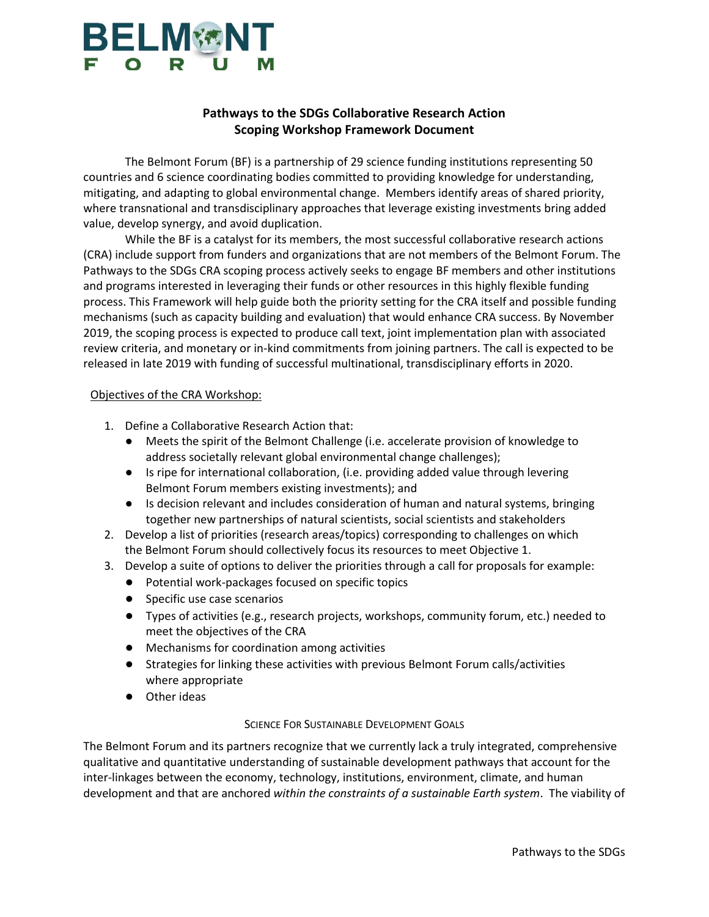# **BELM®NT**

### **Pathways to the SDGs Collaborative Research Action Scoping Workshop Framework Document**

The Belmont Forum (BF) is a partnership of 29 science funding institutions representing 50 countries and 6 science coordinating bodies committed to providing knowledge for understanding, mitigating, and adapting to global environmental change. Members identify areas of shared priority, where transnational and transdisciplinary approaches that leverage existing investments bring added value, develop synergy, and avoid duplication.

While the BF is a catalyst for its members, the most successful collaborative research actions (CRA) include support from funders and organizations that are not members of the Belmont Forum. The Pathways to the SDGs CRA scoping process actively seeks to engage BF members and other institutions and programs interested in leveraging their funds or other resources in this highly flexible funding process. This Framework will help guide both the priority setting for the CRA itself and possible funding mechanisms (such as capacity building and evaluation) that would enhance CRA success. By November 2019, the scoping process is expected to produce call text, joint implementation plan with associated review criteria, and monetary or in-kind commitments from joining partners. The call is expected to be released in late 2019 with funding of successful multinational, transdisciplinary efforts in 2020.

#### Objectives of the CRA Workshop:

- 1. Define a Collaborative Research Action that:
	- Meets the spirit of the Belmont Challenge (i.e. accelerate provision of knowledge to address societally relevant global environmental change challenges);
	- Is ripe for international collaboration, (i.e. providing added value through levering Belmont Forum members existing investments); and
	- Is decision relevant and includes consideration of human and natural systems, bringing together new partnerships of natural scientists, social scientists and stakeholders
- 2. Develop a list of priorities (research areas/topics) corresponding to challenges on which the Belmont Forum should collectively focus its resources to meet Objective 1.
- 3. Develop a suite of options to deliver the priorities through a call for proposals for example:
	- Potential work-packages focused on specific topics
	- Specific use case scenarios
	- Types of activities (e.g., research projects, workshops, community forum, etc.) needed to meet the objectives of the CRA
	- Mechanisms for coordination among activities
	- Strategies for linking these activities with previous Belmont Forum calls/activities where appropriate
	- Other ideas

#### SCIENCE FOR SUSTAINABLE DEVELOPMENT GOALS

The Belmont Forum and its partners recognize that we currently lack a truly integrated, comprehensive qualitative and quantitative understanding of sustainable development pathways that account for the inter-linkages between the economy, technology, institutions, environment, climate, and human development and that are anchored *within the constraints of a sustainable Earth system*. The viability of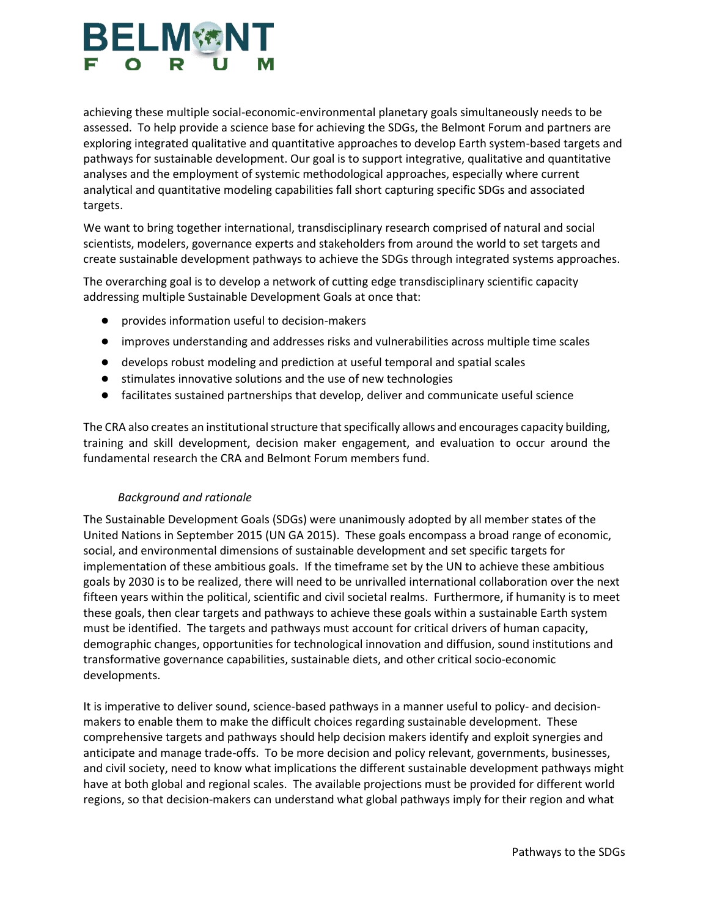# **BELM®NT**

achieving these multiple social-economic-environmental planetary goals simultaneously needs to be assessed. To help provide a science base for achieving the SDGs, the Belmont Forum and partners are exploring integrated qualitative and quantitative approaches to develop Earth system-based targets and pathways for sustainable development. Our goal is to support integrative, qualitative and quantitative analyses and the employment of systemic methodological approaches, especially where current analytical and quantitative modeling capabilities fall short capturing specific SDGs and associated targets.

We want to bring together international, transdisciplinary research comprised of natural and social scientists, modelers, governance experts and stakeholders from around the world to set targets and create sustainable development pathways to achieve the SDGs through integrated systems approaches.

The overarching goal is to develop a network of cutting edge transdisciplinary scientific capacity addressing multiple Sustainable Development Goals at once that:

- provides information useful to decision-makers
- improves understanding and addresses risks and vulnerabilities across multiple time scales
- develops robust modeling and prediction at useful temporal and spatial scales
- stimulates innovative solutions and the use of new technologies
- facilitates sustained partnerships that develop, deliver and communicate useful science

The CRA also creates an institutional structure that specifically allows and encourages capacity building, training and skill development, decision maker engagement, and evaluation to occur around the fundamental research the CRA and Belmont Forum members fund.

#### *Background and rationale*

The Sustainable Development Goals (SDGs) were unanimously adopted by all member states of the United Nations in September 2015 (UN GA 2015). These goals encompass a broad range of economic, social, and environmental dimensions of sustainable development and set specific targets for implementation of these ambitious goals. If the timeframe set by the UN to achieve these ambitious goals by 2030 is to be realized, there will need to be unrivalled international collaboration over the next fifteen years within the political, scientific and civil societal realms. Furthermore, if humanity is to meet these goals, then clear targets and pathways to achieve these goals within a sustainable Earth system must be identified. The targets and pathways must account for critical drivers of human capacity, demographic changes, opportunities for technological innovation and diffusion, sound institutions and transformative governance capabilities, sustainable diets, and other critical socio-economic developments.

It is imperative to deliver sound, science-based pathways in a manner useful to policy- and decisionmakers to enable them to make the difficult choices regarding sustainable development. These comprehensive targets and pathways should help decision makers identify and exploit synergies and anticipate and manage trade-offs. To be more decision and policy relevant, governments, businesses, and civil society, need to know what implications the different sustainable development pathways might have at both global and regional scales. The available projections must be provided for different world regions, so that decision-makers can understand what global pathways imply for their region and what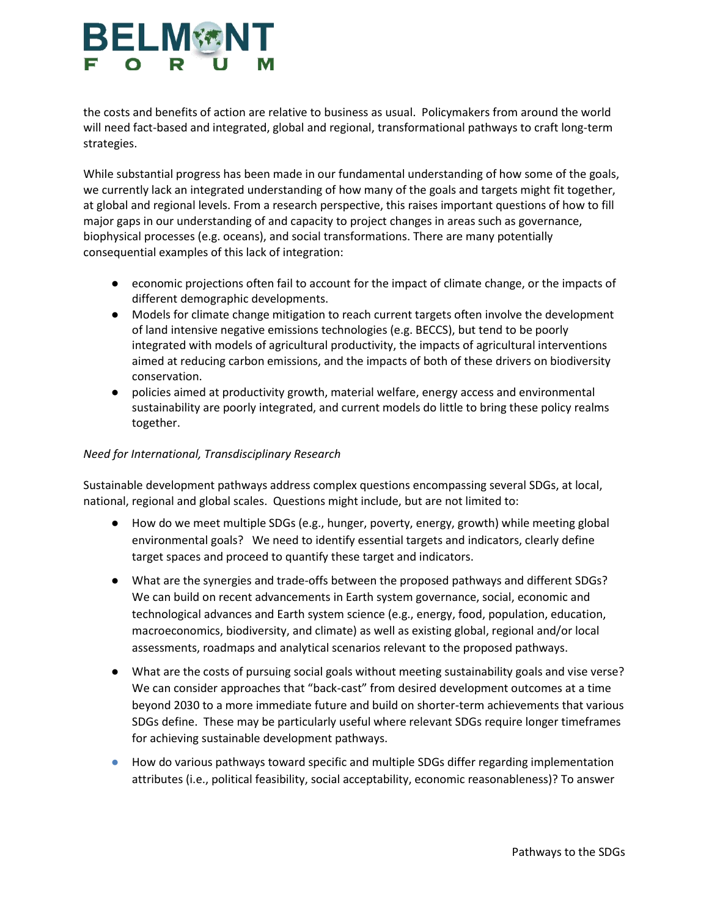# **BELM®N**

the costs and benefits of action are relative to business as usual. Policymakers from around the world will need fact-based and integrated, global and regional, transformational pathways to craft long-term strategies.

While substantial progress has been made in our fundamental understanding of how some of the goals, we currently lack an integrated understanding of how many of the goals and targets might fit together, at global and regional levels. From a research perspective, this raises important questions of how to fill major gaps in our understanding of and capacity to project changes in areas such as governance, biophysical processes (e.g. oceans), and social transformations. There are many potentially consequential examples of this lack of integration:

- economic projections often fail to account for the impact of climate change, or the impacts of different demographic developments.
- Models for climate change mitigation to reach current targets often involve the development of land intensive negative emissions technologies (e.g. BECCS), but tend to be poorly integrated with models of agricultural productivity, the impacts of agricultural interventions aimed at reducing carbon emissions, and the impacts of both of these drivers on biodiversity conservation.
- policies aimed at productivity growth, material welfare, energy access and environmental sustainability are poorly integrated, and current models do little to bring these policy realms together.

### *Need for International, Transdisciplinary Research*

Sustainable development pathways address complex questions encompassing several SDGs, at local, national, regional and global scales. Questions might include, but are not limited to:

- How do we meet multiple SDGs (e.g., hunger, poverty, energy, growth) while meeting global environmental goals? We need to identify essential targets and indicators, clearly define target spaces and proceed to quantify these target and indicators.
- What are the synergies and trade-offs between the proposed pathways and different SDGs? We can build on recent advancements in Earth system governance, social, economic and technological advances and Earth system science (e.g., energy, food, population, education, macroeconomics, biodiversity, and climate) as well as existing global, regional and/or local assessments, roadmaps and analytical scenarios relevant to the proposed pathways.
- What are the costs of pursuing social goals without meeting sustainability goals and vise verse? We can consider approaches that "back-cast" from desired development outcomes at a time beyond 2030 to a more immediate future and build on shorter-term achievements that various SDGs define. These may be particularly useful where relevant SDGs require longer timeframes for achieving sustainable development pathways.
- How do various pathways toward specific and multiple SDGs differ regarding implementation attributes (i.e., political feasibility, social acceptability, economic reasonableness)? To answer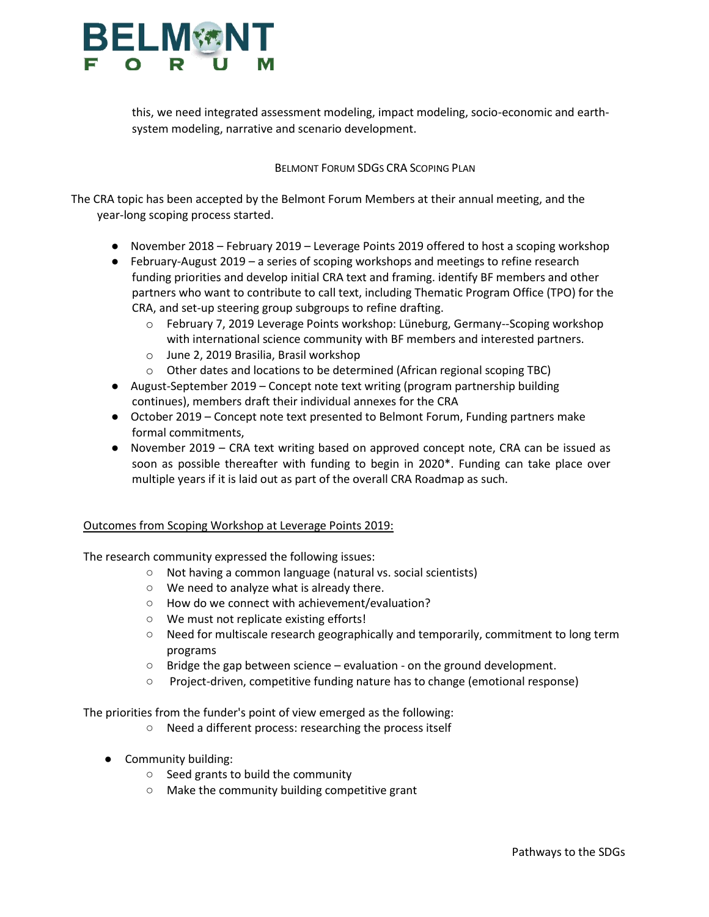

this, we need integrated assessment modeling, impact modeling, socio-economic and earthsystem modeling, narrative and scenario development.

#### BELMONT FORUM SDGS CRA SCOPING PLAN

The CRA topic has been accepted by the Belmont Forum Members at their annual meeting, and the year-long scoping process started.

- November 2018 February 2019 Leverage Points 2019 offered to host a scoping workshop
- February-August 2019 a series of scoping workshops and meetings to refine research funding priorities and develop initial CRA text and framing. identify BF members and other partners who want to contribute to call text, including Thematic Program Office (TPO) for the CRA, and set-up steering group subgroups to refine drafting.
	- o February 7, 2019 Leverage Points workshop: Lüneburg, Germany--Scoping workshop with international science community with BF members and interested partners.
	- o June 2, 2019 Brasilia, Brasil workshop
	- $\circ$  Other dates and locations to be determined (African regional scoping TBC)
- August-September 2019 Concept note text writing (program partnership building continues), members draft their individual annexes for the CRA
- October 2019 Concept note text presented to Belmont Forum, Funding partners make formal commitments,
- November 2019 CRA text writing based on approved concept note, CRA can be issued as soon as possible thereafter with funding to begin in 2020\*. Funding can take place over multiple years if it is laid out as part of the overall CRA Roadmap as such.

#### Outcomes from Scoping Workshop at Leverage Points 2019:

The research community expressed the following issues:

- Not having a common language (natural vs. social scientists)
- We need to analyze what is already there.
- How do we connect with achievement/evaluation?
- We must not replicate existing efforts!
- Need for multiscale research geographically and temporarily, commitment to long term programs
- $\circ$  Bridge the gap between science evaluation on the ground development.
- Project-driven, competitive funding nature has to change (emotional response)

The priorities from the funder's point of view emerged as the following:

- Need a different process: researching the process itself
- Community building:
	- Seed grants to build the community
	- Make the community building competitive grant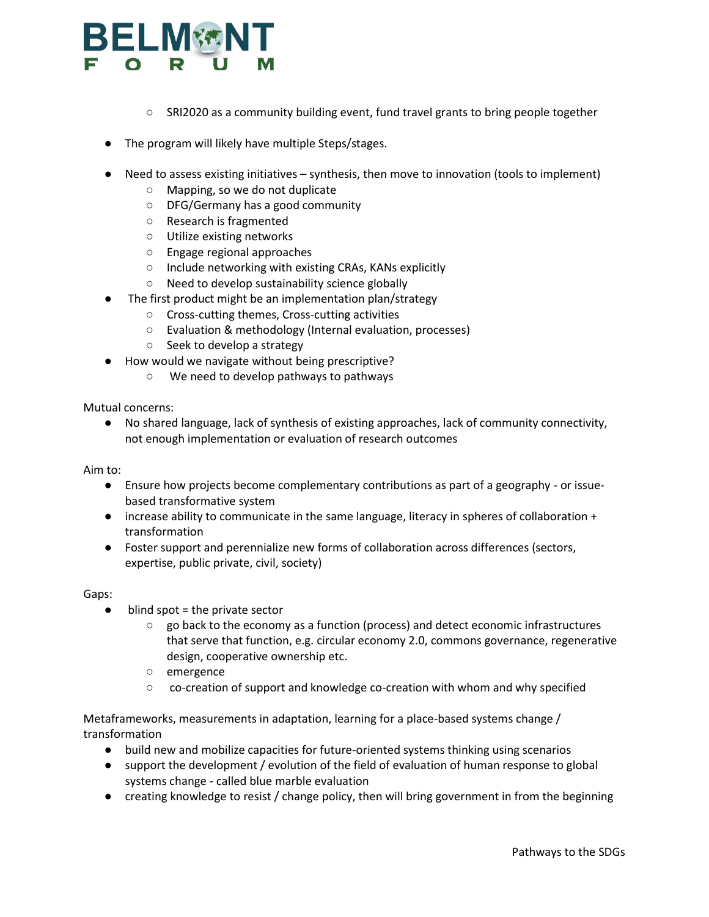## **ELM YON**

- SRI2020 as a community building event, fund travel grants to bring people together
- The program will likely have multiple Steps/stages.
- Need to assess existing initiatives synthesis, then move to innovation (tools to implement)
	- Mapping, so we do not duplicate
	- DFG/Germany has a good community
	- Research is fragmented
	- Utilize existing networks
	- Engage regional approaches
	- Include networking with existing CRAs, KANs explicitly
	- Need to develop sustainability science globally
	- The first product might be an implementation plan/strategy
		- Cross-cutting themes, Cross-cutting activities
		- Evaluation & methodology (Internal evaluation, processes)
		- Seek to develop a strategy
- How would we navigate without being prescriptive?
	- We need to develop pathways to pathways

Mutual concerns:

● No shared language, lack of synthesis of existing approaches, lack of community connectivity, not enough implementation or evaluation of research outcomes

Aim to:

- Ensure how projects become complementary contributions as part of a geography or issuebased transformative system
- increase ability to communicate in the same language, literacy in spheres of collaboration + transformation
- Foster support and perennialize new forms of collaboration across differences (sectors, expertise, public private, civil, society)

#### Gaps:

- $\bullet$  blind spot = the private sector
	- $\circ$  go back to the economy as a function (process) and detect economic infrastructures that serve that function, e.g. circular economy 2.0, commons governance, regenerative design, cooperative ownership etc.
	- emergence
	- co-creation of support and knowledge co-creation with whom and why specified

Metaframeworks, measurements in adaptation, learning for a place-based systems change / transformation

- build new and mobilize capacities for future-oriented systems thinking using scenarios
- support the development / evolution of the field of evaluation of human response to global systems change - called blue marble evaluation
- creating knowledge to resist / change policy, then will bring government in from the beginning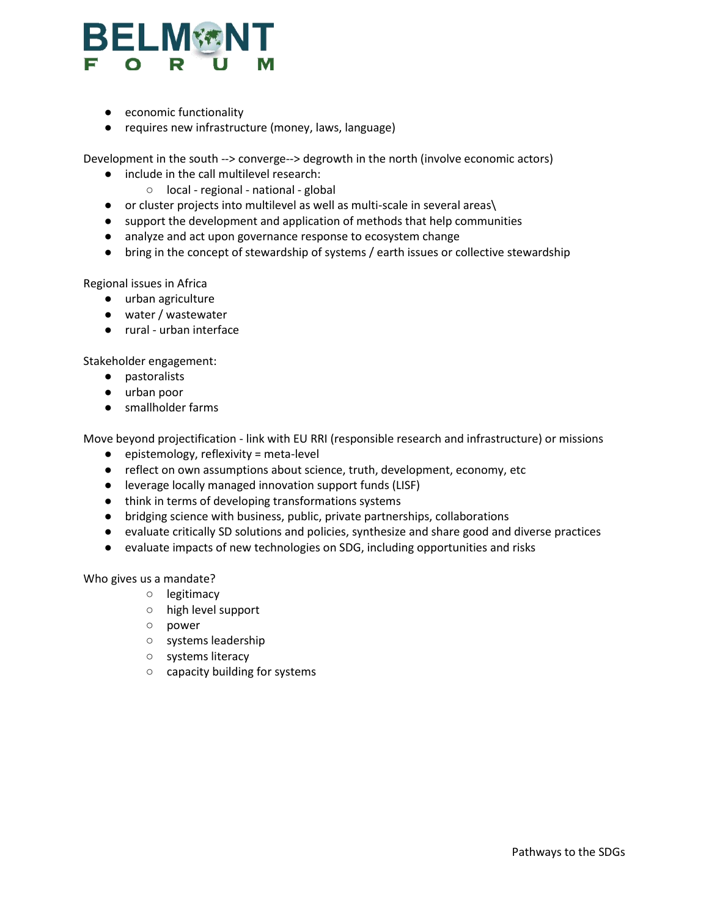

- economic functionality
- requires new infrastructure (money, laws, language)

Development in the south --> converge--> degrowth in the north (involve economic actors)

- include in the call multilevel research:
	- local regional national global
- or cluster projects into multilevel as well as multi-scale in several areas\
- support the development and application of methods that help communities
- analyze and act upon governance response to ecosystem change
- bring in the concept of stewardship of systems / earth issues or collective stewardship

Regional issues in Africa

- urban agriculture
- water / wastewater
- rural urban interface

Stakeholder engagement:

- pastoralists
- urban poor
- smallholder farms

Move beyond projectification - link with EU RRI (responsible research and infrastructure) or missions

- $\bullet$  epistemology, reflexivity = meta-level
- reflect on own assumptions about science, truth, development, economy, etc
- leverage locally managed innovation support funds (LISF)
- think in terms of developing transformations systems
- bridging science with business, public, private partnerships, collaborations
- evaluate critically SD solutions and policies, synthesize and share good and diverse practices
- evaluate impacts of new technologies on SDG, including opportunities and risks

Who gives us a mandate?

- legitimacy
- high level support
- power
- systems leadership
- systems literacy
- capacity building for systems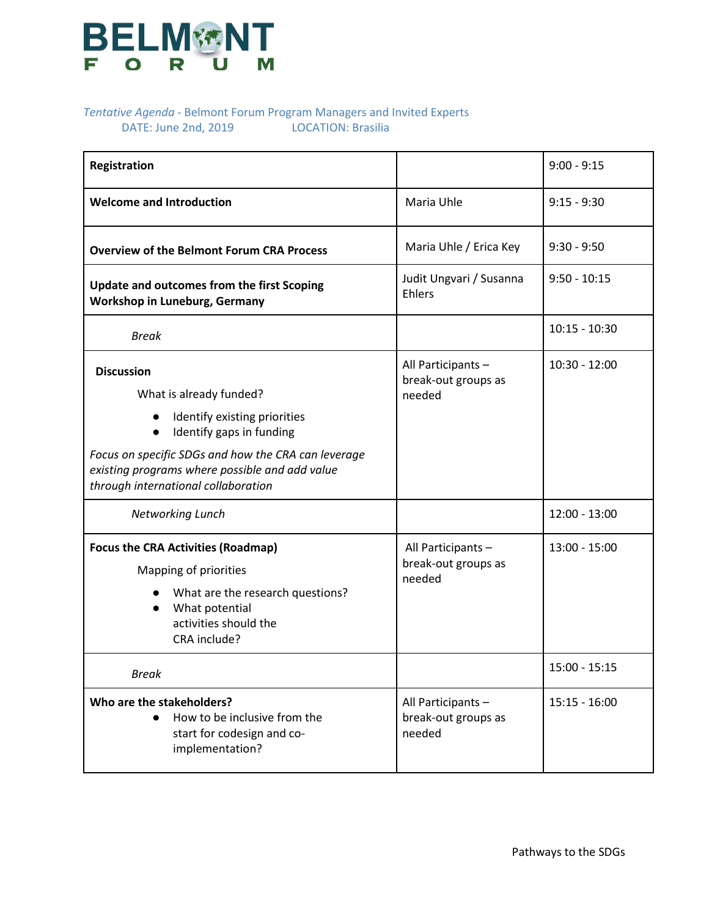

### *Tentative Agenda -* Belmont Forum Program Managers and Invited Experts DATE: June 2nd, 2019 LOCATION: Brasilia

| Registration                                                                                                                                                                                                                                                          |                                                     | $9:00 - 9:15$   |
|-----------------------------------------------------------------------------------------------------------------------------------------------------------------------------------------------------------------------------------------------------------------------|-----------------------------------------------------|-----------------|
| <b>Welcome and Introduction</b>                                                                                                                                                                                                                                       | Maria Uhle                                          | $9:15 - 9:30$   |
| <b>Overview of the Belmont Forum CRA Process</b>                                                                                                                                                                                                                      | Maria Uhle / Erica Key                              | $9:30 - 9:50$   |
| <b>Update and outcomes from the first Scoping</b><br><b>Workshop in Luneburg, Germany</b>                                                                                                                                                                             | Judit Ungvari / Susanna<br>Ehlers                   | $9:50 - 10:15$  |
| <b>Break</b>                                                                                                                                                                                                                                                          |                                                     | $10:15 - 10:30$ |
| <b>Discussion</b><br>What is already funded?<br>Identify existing priorities<br>Identify gaps in funding<br>$\bullet$<br>Focus on specific SDGs and how the CRA can leverage<br>existing programs where possible and add value<br>through international collaboration | All Participants -<br>break-out groups as<br>needed | $10:30 - 12:00$ |
| Networking Lunch                                                                                                                                                                                                                                                      |                                                     | $12:00 - 13:00$ |
| <b>Focus the CRA Activities (Roadmap)</b><br>Mapping of priorities<br>What are the research questions?<br>What potential<br>$\bullet$<br>activities should the<br>CRA include?                                                                                        | All Participants -<br>break-out groups as<br>needed | $13:00 - 15:00$ |
| <b>Break</b>                                                                                                                                                                                                                                                          |                                                     | 15:00 - 15:15   |
| Who are the stakeholders?<br>How to be inclusive from the<br>start for codesign and co-<br>implementation?                                                                                                                                                            | All Participants -<br>break-out groups as<br>needed | $15:15 - 16:00$ |